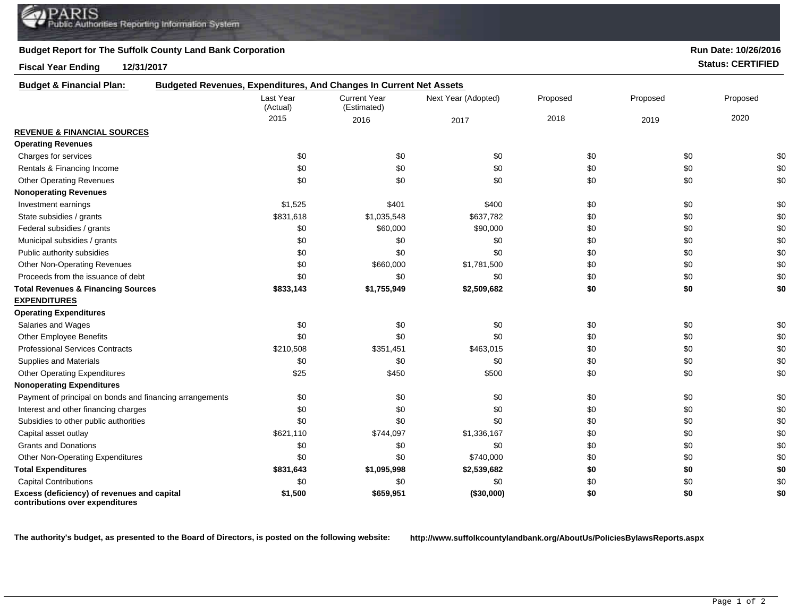## **Budget Report for The Suffolk County Land Bank Corporation**

**Fiscal Year Ending 12/31/2017 Status: CERTIFIED**

| <b>Budget &amp; Financial Plan:</b>                                            | <b>Budgeted Revenues, Expenditures, And Changes In Current Net Assets</b> |                                    |                     |          |          |          |
|--------------------------------------------------------------------------------|---------------------------------------------------------------------------|------------------------------------|---------------------|----------|----------|----------|
|                                                                                | Last Year<br>(Actual)                                                     | <b>Current Year</b><br>(Estimated) | Next Year (Adopted) | Proposed | Proposed | Proposed |
|                                                                                | 2015                                                                      | 2016                               | 2017                | 2018     | 2019     | 2020     |
| <b>REVENUE &amp; FINANCIAL SOURCES</b>                                         |                                                                           |                                    |                     |          |          |          |
| <b>Operating Revenues</b>                                                      |                                                                           |                                    |                     |          |          |          |
| Charges for services                                                           | \$0                                                                       | \$0                                | \$0                 | \$0      | \$0      | \$0      |
| Rentals & Financing Income                                                     | \$0                                                                       | \$0                                | \$0                 | \$0      | \$0      | \$0      |
| <b>Other Operating Revenues</b>                                                | \$0                                                                       | \$0                                | \$0                 | \$0      | \$0      | \$0      |
| <b>Nonoperating Revenues</b>                                                   |                                                                           |                                    |                     |          |          |          |
| Investment earnings                                                            | \$1,525                                                                   | \$401                              | \$400               | \$0      | \$0      | \$0      |
| State subsidies / grants                                                       | \$831,618                                                                 | \$1,035,548                        | \$637,782           | \$0      | \$0      | \$0      |
| Federal subsidies / grants                                                     | \$0                                                                       | \$60,000                           | \$90,000            | \$0      | \$0      | \$0      |
| Municipal subsidies / grants                                                   | \$0                                                                       | \$0                                | \$0                 | \$0      | \$0      | \$0      |
| Public authority subsidies                                                     | \$0                                                                       | \$0                                | \$0                 | \$0      | \$0      | \$0      |
| <b>Other Non-Operating Revenues</b>                                            | \$0                                                                       | \$660,000                          | \$1,781,500         | \$0      | \$0      | \$0      |
| Proceeds from the issuance of debt                                             | \$0                                                                       | \$0                                | \$0                 | \$0      | \$0      | \$0      |
| <b>Total Revenues &amp; Financing Sources</b>                                  | \$833,143                                                                 | \$1,755,949                        | \$2,509,682         | \$0      | \$0      | \$0      |
| <b>EXPENDITURES</b>                                                            |                                                                           |                                    |                     |          |          |          |
| <b>Operating Expenditures</b>                                                  |                                                                           |                                    |                     |          |          |          |
| Salaries and Wages                                                             | \$0                                                                       | \$0                                | \$0                 | \$0      | \$0      | \$0      |
| Other Employee Benefits                                                        | \$0                                                                       | \$0                                | \$0                 | \$0      | \$0      | \$0      |
| <b>Professional Services Contracts</b>                                         | \$210,508                                                                 | \$351,451                          | \$463,015           | \$0      | \$0      | \$0      |
| Supplies and Materials                                                         | \$0                                                                       | \$0                                | \$0                 | \$0      | \$0      | \$0      |
| <b>Other Operating Expenditures</b>                                            | \$25                                                                      | \$450                              | \$500               | \$0      | \$0      | \$0      |
| <b>Nonoperating Expenditures</b>                                               |                                                                           |                                    |                     |          |          |          |
| Payment of principal on bonds and financing arrangements                       | \$0                                                                       | \$0                                | \$0                 | \$0      | \$0      | \$0      |
| Interest and other financing charges                                           | \$0                                                                       | \$0                                | \$0                 | \$0      | \$0      | \$0      |
| Subsidies to other public authorities                                          | \$0                                                                       | \$0                                | \$0                 | \$0      | \$0      | \$0      |
| Capital asset outlay                                                           | \$621,110                                                                 | \$744,097                          | \$1,336,167         | \$0      | \$0      | \$0      |
| <b>Grants and Donations</b>                                                    | \$0                                                                       | \$0                                | \$0                 | \$0      | \$0      | \$0      |
| Other Non-Operating Expenditures                                               | \$0                                                                       | \$0                                | \$740,000           | \$0      | \$0      | \$0      |
| <b>Total Expenditures</b>                                                      | \$831,643                                                                 | \$1,095,998                        | \$2,539,682         | \$0      | \$0      | \$0      |
| <b>Capital Contributions</b>                                                   | \$0                                                                       | \$0                                | \$0                 | \$0      | \$0      | \$0      |
| Excess (deficiency) of revenues and capital<br>contributions over expenditures | \$1,500                                                                   | \$659,951                          | (\$30,000)          | \$0      | \$0      | \$0      |

**The authority's budget, as presented to the Board of Directors, is posted on the following website: http://www.suffolkcountylandbank.org/AboutUs/PoliciesBylawsReports.aspx**